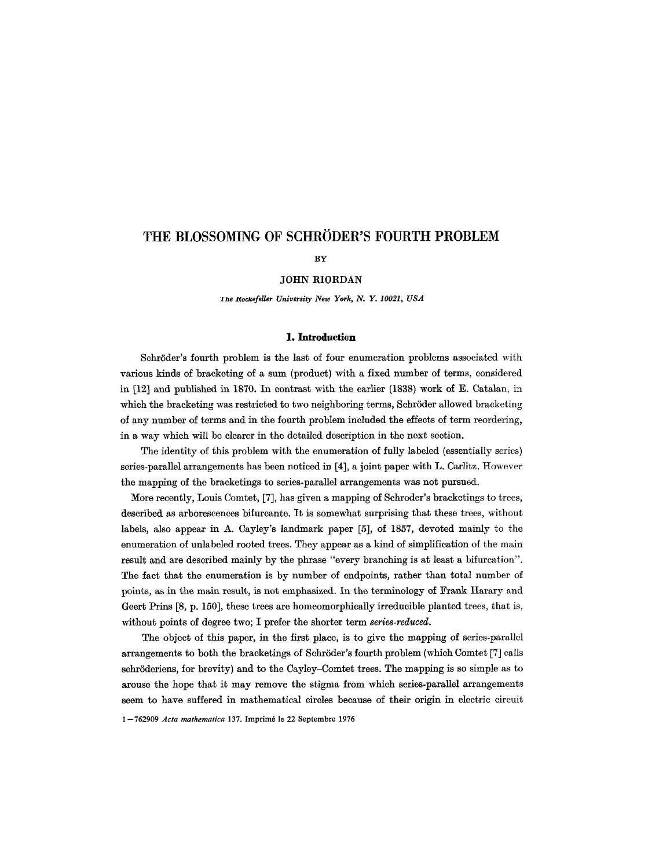# THE BLOSSOMING OF SCHRÖDER'S FOURTH PROBLEM

BY

## JOHN RIORDAN

*lhe Rockefeller University New York, N. Y. 10021, USA* 

# **1. Introduction**

Schröder's fourth problem is the last of four enumeration problems associated with various kinds of bracketing of a sum (product) with a fixed number of terms, considered in [12] and published in 1870. In contrast with the earlier (1838) work of E. Catalan, in which the bracketing was restricted to two neighboring terms, Schröder allowed bracketing of any number of terms and in the fourth problem included the effects of term reordering, in a way which will be clearer in the detailed description in the next section.

The identity of this problem with the enumeration of fully labeled (essentially series) series-parallel arrangements has been noticed in [4], a joint paper with L. Carlitz. However the mapping of the braeketings to series-parallel arrangements was not pursued.

More recently, Louis Comtet, [7], has given a mapping of Schroder's bracketings to trees, described as arborescences bifurcante. It is somewhat surprising that these trees, without labels, also appear in A. Cayley's landmark paper [5], of 1857, devoted mainly to the enumeration of unlabeled rooted trees. They appear as a kind of simplification of the main result and are described mainly by the phrase "every branching is at least a bifurcation". The fact that the enumeration is by number of endpoints, rather than total number of points, as in the main result, is not emphasized. In the terminology of Frank Harary and Geert Prins [8, p. 150], these trees are homeomorphically irreducible planted trees, that is, without points of degree two; I prefer the shorter term *series-reduced.* 

The object of this paper, in the first place, is to give the mapping of series-parallel arrangements to both the bracketings of Schröder's fourth problem (which Comtet [7] calls schröderiens, for brevity) and to the Cayley-Comtet trees. The mapping is so simple as to arouse the hope that it may remove the stigma from which series-parallel arrangements seem to have suffered in mathematical circles because of their origin in electric circuit

1-762909 *Acta mathematica* 137. Imprim6 le 22 Septembre 1976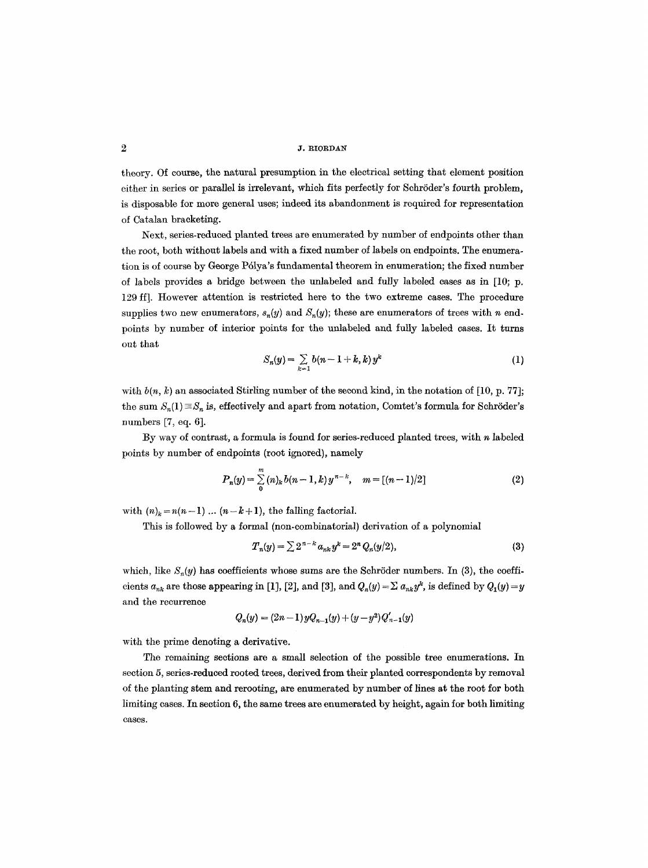theory. Of course, the natural presumption in the electrical setting that element position either in series or parallel is irrelevant, which fits perfectly for Schröder's fourth problem, is disposable for more general uses; indeed its abandonment is required for representation of Catalan bracketing.

Next, series-reduced planted trees are enumerated by number of endpoints other than the root, both without labels and with a fixed number of labels on endpoints. The enumeration is of course by George P61ya's fundamental theorem in enumeration; the fixed number of labels provides a bridge between the unlabeled and fully labeled cases as in [10; p. 129 ff]. However attention is restricted here to the two extreme cases. The procedure supplies two new enumerators,  $s_n(y)$  and  $S_n(y)$ ; these are enumerators of trees with n endpoints by number of interior points for the unlabeled and fully labeled cases. It turns out that

$$
S_n(y) = \sum_{k=1} b(n-1+k, k) y^k \tag{1}
$$

with  $b(n, k)$  an associated Stirling number of the second kind, in the notation of [10, p. 77]; the sum  $S_n(1) \equiv S_n$  is, effectively and apart from notation, Comtet's formula for Schröder's numbers [7, eq. 6].

By way of contrast, a formula is found for series-reduced planted trees, with  $n$  labeled points by number of endpoints (root ignored), namely

$$
P_n(y) = \sum_{0}^{m} (n)_k b(n-1,k) y^{n-k}, \quad m = [(n-1)/2]
$$
 (2)

with  $(n)_k = n(n-1)$  ...  $(n-k+1)$ , the falling factorial.

This is followed by a formal (non-combinatorial) derivation of a polynomial

$$
T_n(y) = \sum 2^{n-k} a_{nk} y^k = 2^n Q_n(y/2), \qquad (3)
$$

which, like  $S_n(y)$  has coefficients whose sums are the Schröder numbers. In (3), the coefficients  $a_{nk}$  are those appearing in [1], [2], and [3], and  $Q_n(y) = \sum a_{nk} y^k$ , is defined by  $Q_1(y) = y$ and the recurrence

$$
Q_n(y) = (2n-1)yQ_{n-1}(y) + (y-y^2)Q'_{n-1}(y)
$$

with the prime denoting a derivative.

The remaining sections are a small selection of the possible tree enumerations. In section 5, series-reduced rooted trees, derived from their planted correspondents by removal of the planting stem and rerooting, are enumerated by number of lines at the root for both limiting cases. In section 6, the same trees are enumerated by height, again for both limiting cases.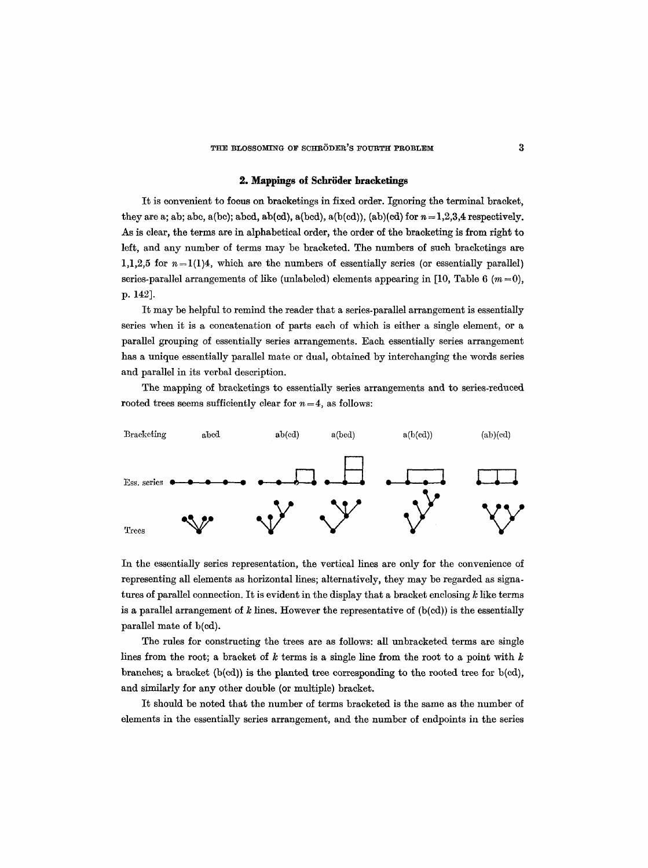### **2. Mappings of Schröder bracketings**

It is convenient to focus on bracketings in fixed order. Ignoring the terminal bracket, they are a; ab; abc, a(bc); abcd, ab(cd), a(bcd), a(b(cd)), (ab)(cd) for  $n=1,2,3,4$  respectively. As is clear, the terms are in alphabetical order, the order of the bracketing is from right to left, and any number of terms may be bracketed. The numbers of such bracketings are 1,1,2,5 for  $n=1(1)4$ , which are the numbers of essentially series (or essentially parallel) series-parallel arrangements of like (unlabeled) elements appearing in [10, Table 6  $(m=0)$ , **p. 142].** 

It may be helpful to remind the reader that a series-parallel arrangement is essentially series when it is a concatenation of parts each of which is either a single element, or a parallel grouping of essentially series arrangements. Each essentially series arrangement has a unique essentially parallel mate or dual, obtained by interchanging the words series and parallel in its verbal description.

The mapping of braeketings to essentially series arrangements and to series-reduced rooted trees seems sufficiently clear for  $n = 4$ , as follows:



In the essentially series representation, the vertical lines are only for the convenience of representing all elements as horizontal lines; alternatively, they may be regarded as signatures of parallel connection. It is evident in the display that a bracket enclosing  $k$  like terms is a parallel arrangement of  $k$  lines. However the representative of  $(b(cd))$  is the essentially parallel mate of b(cd).

The rules for constructing the trees are as follows: all unbracketed terms are single lines from the root; a bracket of  $k$  terms is a single line from the root to a point with  $k$ branches; a bracket  $(b(cd))$  is the planted tree corresponding to the rooted tree for  $b(cd)$ , and similarly for any other double (or multiple) bracket.

It should be noted that the number of terms bracketed is the same as the number of elements in the essentially series arrangement, and the number of endpoints in the series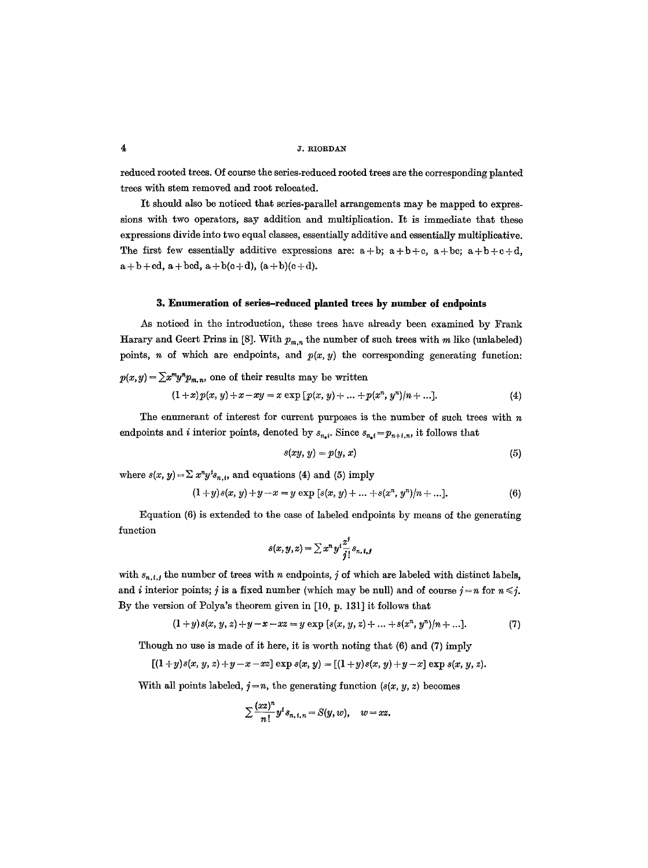### $\frac{4}{3}$  J. RIORDAN

reduced rooted trees. Of course the series-reduced rooted trees are the corresponding planted trees with stem removed and root relocated.

It should also be noticed that series-parallel arrangements may be mapped to expressions with two operators, say addition and multiplication. It is immediate that these expressions divide into two equal classes, essentially additive and essentially multiplieative. The first few essentially additive expressions are:  $a + b$ ;  $a + b + c$ ,  $a + b + c + d$ ,  $a+b+cd$ ,  $a+bcd$ ,  $a+b(c+d)$ ,  $(a+b)(c+d)$ .

### **3. Enumeration of series-reduced planted trees by number of endpoints**

As noticed in the introduction, these trees have already been examined by Frank Harary and Geert Prins in [8]. With  $p_{m,n}$  the number of such trees with m like (unlabeled) points, n of which are endpoints, and  $p(x, y)$  the corresponding generating function:

$$
p(x,y) = \sum x^m y^n p_{m,n}
$$
, one of their results may be written  
\n
$$
(1+x)p(x, y) + x - xy = x \exp [p(x, y) + ... + p(x^n, y^n)/n + ...].
$$
\n(4)

The enumerant of interest for current purposes is the number of such trees with  $n$ endpoints and *i* interior points, denoted by  $s_{n,i}$ . Since  $s_{n,i} = p_{n+i,n}$ , it follows that

$$
s(xy, y) = p(y, x) \tag{5}
$$

where  $s(x, y) = \sum x^n y^i s_{n,i}$ , and equations (4) and (5) imply

$$
(1+y)s(x, y) + y - x = y \exp [s(x, y) + ... + s(x^n, y^n)/n + ...].
$$
\n(6)

Equation (6) is extended to the case of labeled endpoints by means of the generating function

$$
s(x,y,z)=\sum x^n y^i \frac{z^j}{j!} s_{n,1,j}
$$

with  $s_{n,i,j}$  the number of trees with n endpoints, j of which are labeled with distinct labels, and *i* interior points; *j* is a fixed number (which may be null) and of course  $j = n$  for  $n \leq j$ . By the version of Polya's theorem given in [10, p. 131] it follows that

$$
(1+y)s(x, y, z)+y-x-xz=y \exp [s(x, y, z)+...+s(xn, yn)/n+...].
$$
 (7)

Though no use is made of it here, it is worth noting that (6) and (7) imply

$$
[(1+y)s(x, y, z)+y-x-xz] \exp s(x, y) = [(1+y)s(x, y)+y-x] \exp s(x, y, z).
$$

With all points labeled,  $j=n$ , the generating function ( $s(x, y, z)$ ) becomes

$$
\sum \frac{(xz)^n}{n!} y^i s_{n, t, n} = S(y, w), \quad w = xz.
$$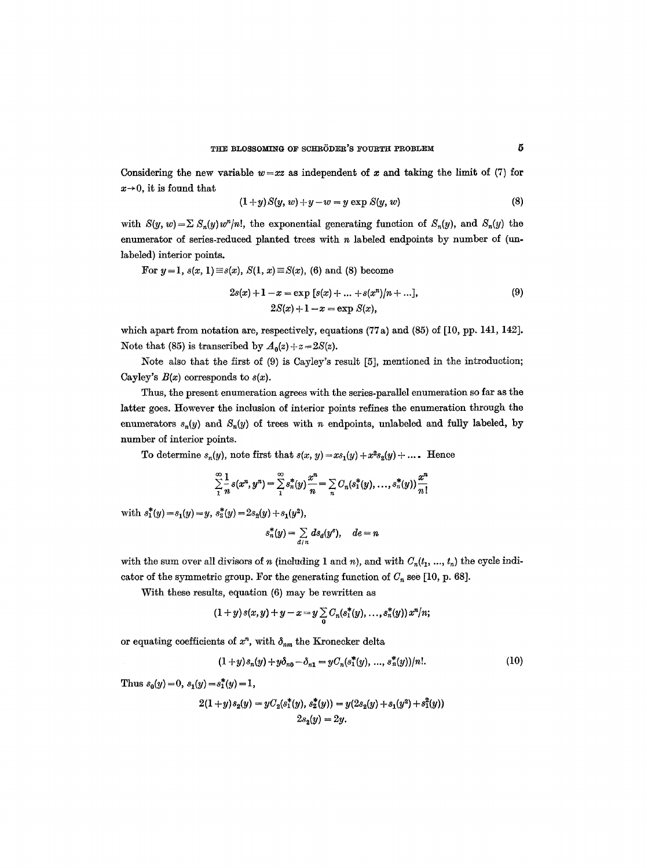Considering the new variable  $w=xz$  as independent of x and taking the limit of (7) for  $x\rightarrow 0$ , it is found that

$$
(1+y)S(y, w)+y-w=y\exp S(y, w) \qquad \qquad (8)
$$

with  $S(y, w) = \sum S_n(y)w^n/n!$ , the exponential generating function of  $S_n(y)$ , and  $S_n(y)$  the enumerator of series-reduced planted trees with  $n$  labeled endpoints by number of (unlabeled) interior points.

For 
$$
y=1
$$
,  $s(x, 1) \equiv s(x)$ ,  $S(1, x) \equiv S(x)$ , (6) and (8) become  
\n
$$
2s(x) + 1 - x = \exp [s(x) + ... + s(x^n)/n + ...],
$$
\n
$$
2S(x) + 1 - x = \exp S(x),
$$
\n(9)

which apart from notation are, respectively, equations (77a) and (85) of [10, pp. 141, 142]. Note that (85) is transcribed by  $A_0(z) + z = 2S(z)$ .

Note also that the first of (9) is Cayley's result [5], mentioned in the introduction; Cayley's  $B(x)$  corresponds to  $s(x)$ .

Thus, the present enumeration agrees with the series-parallel enumeration so far as the latter goes. However the inclusion of interior points refines the enumeration through the enumerators  $s_n(y)$  and  $S_n(y)$  of trees with n endpoints, unlabeled and fully labeled, by number of interior points.

To determine  $s_n(y)$ , note first that  $s(x, y) = xs_1(y) + x^2s_2(y) + \dots$ . Hence

$$
\sum_{1}^{\infty}\frac{1}{n}s(x^{n},y^{n})=\sum_{1}^{\infty}s_{n}^{*}(y)\frac{x^{n}}{n}=\sum_{n}C_{n}(s_{1}^{*}(y),...,s_{n}^{*}(y))\frac{x^{n}}{n!}
$$

with  $s_1^*(y) = s_1(y) = y$ ,  $s_2^*(y) = 2s_2(y) + s_1(y^2)$ ,

$$
s_n^*(y) = \sum_{d \mid n} ds_d(y^e), \quad de = n
$$

with the sum over all divisors of n (including 1 and n), and with  $C_n(t_1, ..., t_n)$  the cycle indicator of the symmetric group. For the generating function of  $C_n$  see [10, p. 68].

With these results, equation (6) may be rewritten as

$$
(1+y) s(x,y) + y - x = y \sum_{0} C_n(s_1^*(y), \ldots, s_n^*(y)) x^n/n;
$$

or equating coefficients of  $x^n$ , with  $\delta_{nm}$  the Kronecker delta

$$
(1+y)s_n(y)+y\delta_{n0}-\delta_{n1}=yC_n(s_1^*(y),...,s_n^*(y))/n!.
$$
 (10)

Thus  $s_0(y) = 0$ ,  $s_1(y) = s_1^*(y) = 1$ ,

$$
2(1+y)s_2(y) = yC_2(s_1^*(y), s_2^*(y)) = y(2s_2(y) + s_1(y^2) + s_1^2(y))
$$
  

$$
2s_2(y) = 2y.
$$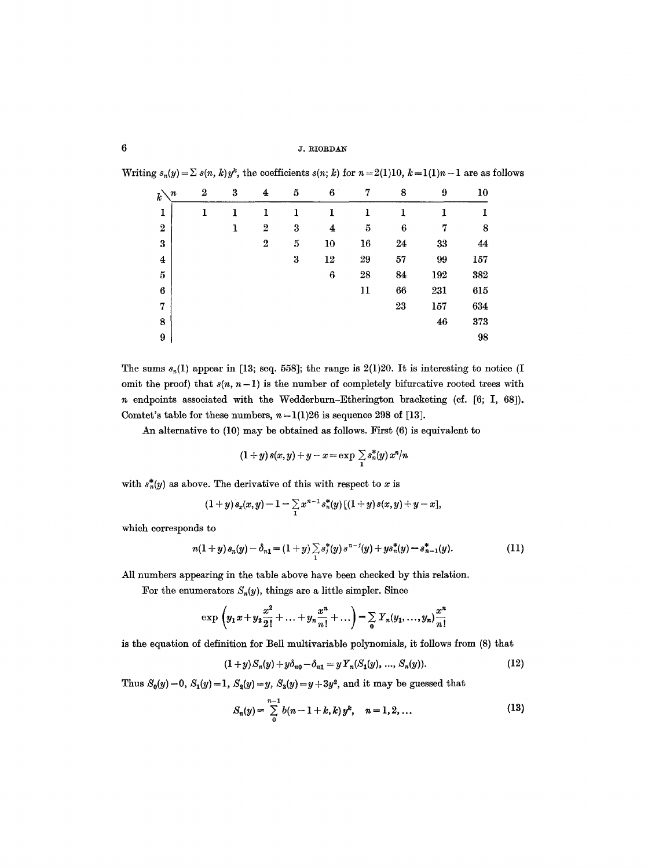# **6 1. RIORDAN**

| $\boldsymbol{n}$<br>$\vec{k}$ | $\overline{2}$ | 3           | 4                | 5       | 6                | 7  | 8                | 9   | $10\,$  |
|-------------------------------|----------------|-------------|------------------|---------|------------------|----|------------------|-----|---------|
| ${\bf I}$                     | 1              | 1           | ı                | ı       | 1                | 1  | 1                | 1   | 1       |
| $\boldsymbol{2}$              |                | $\mathbf 1$ | $\boldsymbol{2}$ | 3       | 4                | 5  | $\boldsymbol{6}$ | 7   | $\bf 8$ |
| $\bf{3}$                      |                |             | $\boldsymbol{2}$ | $\bf 5$ | 10               | 16 | 24               | 33  | 44      |
| $\bf{4}$                      |                |             |                  | 3       | 12               | 29 | 57               | 99  | 157     |
| 5                             |                |             |                  |         | $\boldsymbol{6}$ | 28 | 84               | 192 | 382     |
| $\boldsymbol{6}$              |                |             |                  |         |                  | 11 | 66               | 231 | 615     |
| 7                             |                |             |                  |         |                  |    | 23               | 157 | 634     |
| 8                             |                |             |                  |         |                  |    |                  | 46  | 373     |
| 9                             |                |             |                  |         |                  |    |                  |     | 98      |

Writing  $s_n(y) = \sum s(n, k) y^k$ , the coefficients  $s(n; k)$  for  $n = 2(1)10$ ,  $k = 1(1)n - 1$  are as follows

The sums  $s_n(1)$  appear in [13; seq. 558]; the range is 2(1)20. It is interesting to notice (I omit the proof) that  $s(n, n-1)$  is the number of completely bifurcative rooted trees with n endpoints associated with the Wedderburn-Etherington bracketing (cf. [6; I, 68]). Comtet's table for these numbers,  $n = 1(1)26$  is sequence 298 of [13].

An alternative to (10) may be obtained as follows. First (6) is equivalent to

$$
(1+y)\,s(x,y)+y-x=\exp\sum\limits_{1}s_n^*(y)\,x^n/n
$$

with  $s_n^*(y)$  as above. The derivative of this with respect to x is

$$
(1+y) s_x(x,y) - 1 = \sum_{1} x^{n-1} s_n^*(y) [(1+y) s(x,y) + y - x],
$$

which corresponds to

$$
n(1+y) s_n(y) - \delta_{n1} = (1+y) \sum_{1} s_j^*(y) s^{n-j}(y) + y s_n^*(y) - s_{n-1}^*(y).
$$
 (11)

All numbers appearing in the table above have been checked by this relation.

For the enumerators  $S_n(y)$ , things are a little simpler. Since

$$
\exp\left(y_1x+y_2\frac{x^2}{2!}+\ldots+y_n\frac{x^n}{n!}+\ldots\right)=\sum_{0}Y_n(y_1,\ldots,y_n)\frac{x^n}{n!}
$$

is the equation of definition for Bell multivariable polynomials, it follows from (8) that

$$
(1+y)S_n(y) + y\delta_{n0} - \delta_{n1} = yY_n(S_1(y), ..., S_n(y)).
$$
\n(12)

Thus  $S_0(y) = 0$ ,  $S_1(y) = 1$ ,  $S_2(y) = y$ ,  $S_3(y) = y + 3y^2$ , and it may be guessed that

$$
S_n(y) = \sum_{0}^{n-1} b(n-1+k, k) y^k, \quad n = 1, 2, ... \qquad (13)
$$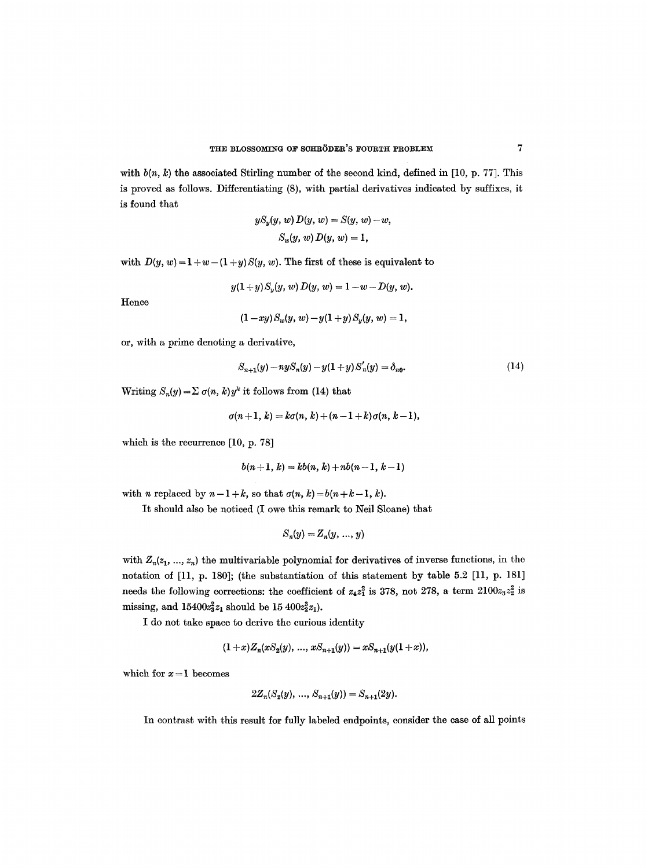with  $b(n, k)$  the associated Stirling number of the second kind, defined in [10, p. 77]. This is proved as follows. Differentiating (8), with partial derivatives indicated by suffixes, it is found that

$$
yS_y(y, w) D(y, w) = S(y, w) - w,
$$
  

$$
S_w(y, w) D(y, w) = 1,
$$

with  $D(y, w) = 1 + w - (1 + y)S(y, w)$ . The first of these is equivalent to

$$
y(1+y)S_y(y, w) D(y, w) = 1 - w - D(y, w).
$$

Hence

$$
(1-xy)S_w(y, w)-y(1+y)S_y(y, w)=1,
$$

or, with a prime denoting a derivative,

$$
S_{n+1}(y) - n y S_n(y) - y(1+y) S'_n(y) = \delta_{n0}.
$$
 (14)

Writing  $S_n(y) = \sum \sigma(n, k) y^k$  it follows from (14) that

$$
\sigma(n+1, k) = k\sigma(n, k) + (n-1+k)\sigma(n, k-1),
$$

which is the recurrence [10, p. 78]

$$
b(n+1, k) = kb(n, k) + nb(n-1, k-1)
$$

with *n* replaced by  $n-1+k$ , so that  $\sigma(n, k) = b(n+k-1, k)$ .

It should also be noticed (I owe this remark to Neil Sloane) that

$$
S_n(y) = Z_n(y, \ldots, y)
$$

with  $Z_n(z_1, ..., z_n)$  the multivariable polynomial for derivatives of inverse functions, in the notation of [11, p. 180]; (the substantiation of this statement by table 5.2 [11, p. 181] needs the following corrections: the coefficient of  $z_4z_1^2$  is 378, not 278, a term  $2100z_3z_2^2$  is missing, and  $15400z_3^2z_1$  should be  $15\ 400z_2^3z_1$ ).

I do not take space to derive the curious identity

$$
(1+x)Z_n(xS_2(y),...,xS_{n+1}(y))=xS_{n+1}(y(1+x)),
$$

which for  $x = 1$  becomes

$$
2Z_n(S_2(y),\, \ldots,\, S_{n+1}(y)) = S_{n+1}(2y).
$$

In contrast with this result for fully labeled endpoints, consider the case of all points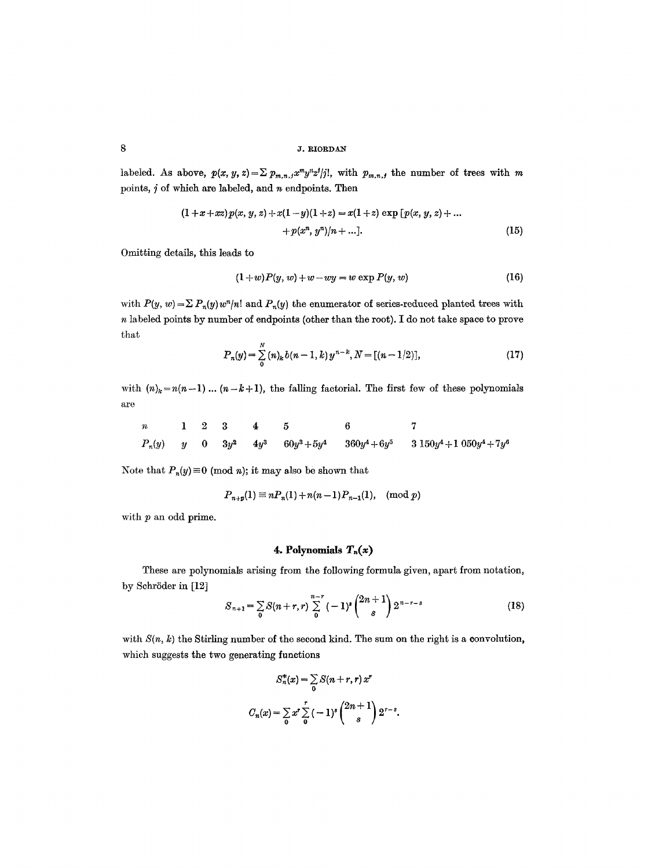labeled. As above,  $p(x, y, z) = \sum p_{m,n,j} x^m y^j z^j / j!$ , with  $p_{m,n,j}$  the number of trees with m points,  $j$  of which are labeled, and  $n$  endpoints. Then

$$
(1+x+xz)p(x, y, z)+x(1-y)(1+z)=x(1+z)\exp [p(x, y, z)+...+p(x^n, y^n)]n+...].
$$
\n(15)

Omitting details, this leads to

$$
(1+w)P(y, w) + w - wy = w \exp P(y, w) \tag{16}
$$

with  $P(y, w) = \sum P_n(y)w^n/n!$  and  $P_n(y)$  the enumerator of series-reduced planted trees with n labeled points by number of endpoints (other than the root). I do not take space to prove that

$$
P_n(y) = \sum_{0}^{N} (n)_k b(n-1,k) y^{n-k}, N = [(n-1/2)], \qquad (17)
$$

with  $(n)_k = n(n-1)$ ...  $(n-k+1)$ , the falling factorial. The first few of these polynomials are

| $n$      | 1   | 2 | 3      | 4      | 5              | 6               | 7 |                           |
|----------|-----|---|--------|--------|----------------|-----------------|---|---------------------------|
| $P_n(y)$ | $y$ | 0 | $3y^2$ | $4y^3$ | $60y^3 + 5y^4$ | $360y^4 + 6y^5$ | 3 | $150y^4 + 1050y^4 + 7y^6$ |

Note that  $P_n(y) \equiv 0 \pmod{n}$ ; it may also be shown that

$$
P_{n+p}(1) \equiv nP_n(1) + n(n-1)P_{n-1}(1), \pmod{p}
$$

with p an odd prime.

# 4. Polynomials  $T_n(x)$

These are polynomials arising from the following formula given, apart from notation, by Schröder in [12]

$$
S_{n+1} = \sum_{0} S(n+r,r) \sum_{0}^{n-r} (-1)^{s} {2n+1 \choose s} 2^{n-r-s}
$$
 (18)

with  $S(n, k)$  the Stirling number of the second kind. The sum on the right is a convolution, which suggests the two generating functions

$$
S_n^*(x) = \sum_{0} S(n+r, r) x^r
$$
  

$$
C_n(x) = \sum_{0} x^r \sum_{0}^r (-1)^s {2n+1 \choose s} 2^{r-s}.
$$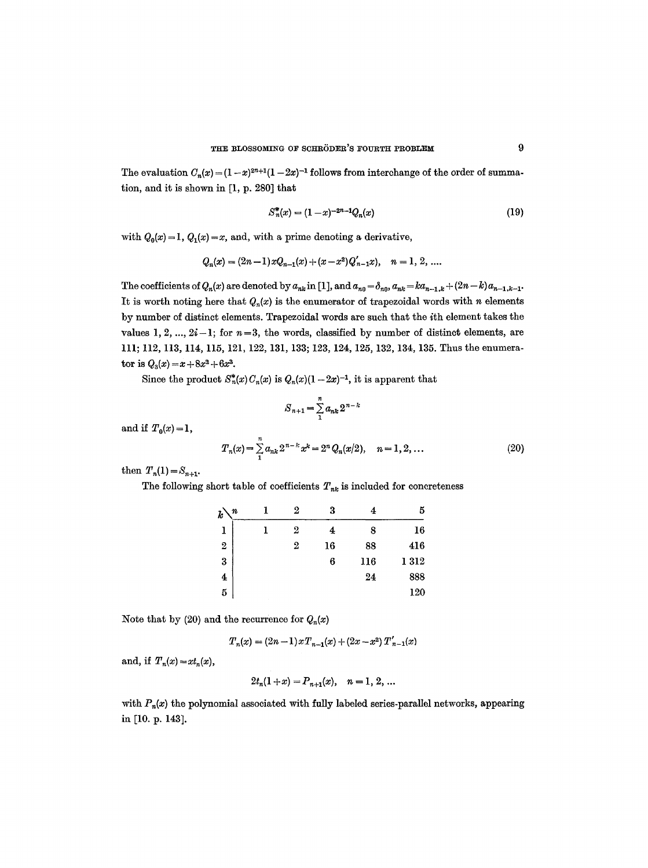The evaluation  $C_n(x) = (1-x)^{2n+1}(1-2x)^{-1}$  follows from interchange of the order of summation, and it is shown in [1, p. 280] that

$$
S_n^*(x) = (1-x)^{-2n-1} Q_n(x) \tag{19}
$$

with  $Q_0(x)=1$ ,  $Q_1(x)=x$ , and, with a prime denoting a derivative,

$$
Q_n(x) = (2n-1)xQ_{n-1}(x) + (x-x^2)Q'_{n-1}x), \quad n = 1, 2, ....
$$

The coefficients of  $Q_n(x)$  are denoted by  $a_{nk}$  in [1], and  $a_{n0} = \delta_{n0}$ ,  $a_{nk} = ka_{n-1,k} + (2n-k)a_{n-1,k-1}$ . It is worth noting here that  $Q_n(x)$  is the enumerator of trapezoidal words with n elements by number of distinct elements. Trapezoidal words are such that the ith element takes the values 1, 2, ...,  $2i-1$ ; for  $n=3$ , the words, classified by number of distinct elements, are 111; 112, 113, 114, 115, 121,122, 131, 133; 123, 124, 125, 132, 134, 135. Thus the enumerator is  $Q_3(x) = x + 8x^2 + 6x^3$ .

Since the product  $S_n^*(x)C_n(x)$  is  $Q_n(x)(1-2x)^{-1}$ , it is apparent that

$$
S_{n+1} = \sum_{1}^{n} a_{nk} 2^{n-k}
$$

and if  $T_0(x) = 1$ ,

$$
T_n(x) = \sum_{1}^{n} a_{nk} 2^{n-k} x^k = 2^n Q_n(x/2), \quad n = 1, 2, ... \tag{20}
$$

then  $T_n(1) = S_{n+1}$ .

The following short table of coefficients  $T_{nk}$  is included for concreteness

| $\boldsymbol{k}$<br>n | 2              | 3  | 4   | 5        |
|-----------------------|----------------|----|-----|----------|
| ı                     | 2              | 4  | 8   | 16       |
| $\boldsymbol{2}$      | $\overline{2}$ | 16 | 88  | 416      |
| $\bf{3}$              |                | 6  | 116 | $1\,312$ |
| 4                     |                |    | 24  | 888      |
| 5                     |                |    |     | 120      |

Note that by (20) and the recurrence for  $Q_n(x)$ 

$$
T_n(x) = (2n-1)xT_{n-1}(x) + (2x - x^2)T'_{n-1}(x)
$$

and, if  $T_n(x) = xt_n(x)$ ,

$$
2t_n(1+x) = P_{n+1}(x), \quad n = 1, 2, ...
$$

with  $P_n(x)$  the polynomial associated with fully labeled series-parallel networks, appearing in [10. p. 143].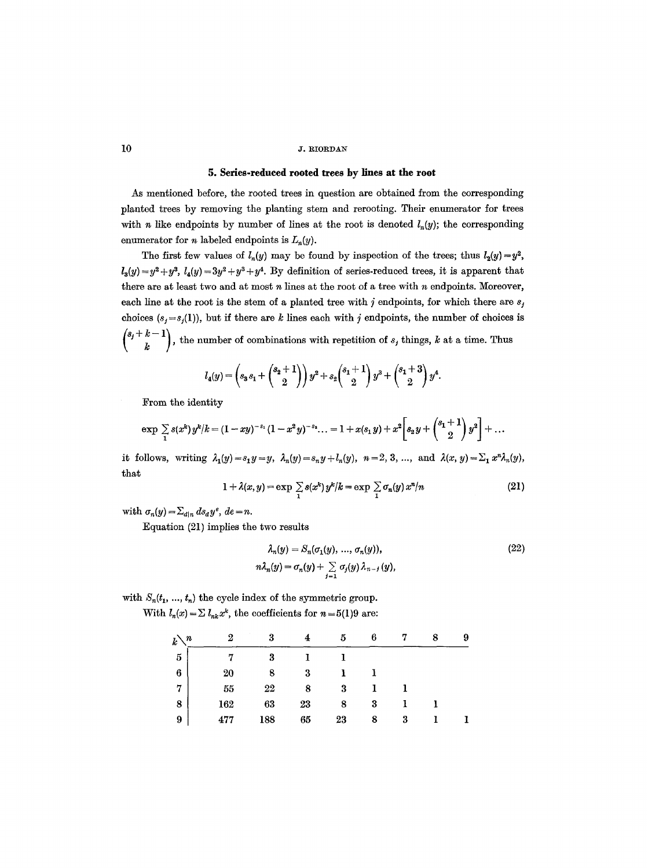# 5. Series-reduced rooted trees by lines at the root

As mentioned before, the rooted trees in question are obtained from the corresponding planted trees by removing the planting stem and rerooting. Their enumerator for trees with *n* like endpoints by number of lines at the root is denoted  $l_n(y)$ ; the corresponding enumerator for *n* labeled endpoints is  $L_n(y)$ .

The first few values of  $l_n(y)$  may be found by inspection of the trees; thus  $l_2(y)=y^2$ ,  $l_3(y) = y^2 + y^3$ ,  $l_4(y) = 3y^2 + y^3 + y^4$ . By definition of series-reduced trees, it is apparent that there are at least two and at most n lines at the root of a tree with n endpoints. Moreover, each line at the root is the stem of a planted tree with j endpoints, for which there are  $s_j$ choices  $(s_j = s_j(1))$ , but if there are k lines each with j endpoints, the number of choices is  ${s_j+k-1 \choose k}$ , the number of combinations with repetition of  $s_j$  things, k at a time. Thus

$$
l_4(y) = \left(s_3 s_1 + {s_2 + 1 \choose 2}\right) y^2 + s_2 {s_1 + 1 \choose 2} y^3 + {s_1 + 3 \choose 2} y^4.
$$

From the identity

$$
\exp \sum_{1} s(x^{k}) y^{k} / k = (1 - xy)^{-s_1} (1 - x^2 y)^{-s_2} \dots = 1 + x(s_1 y) + x^2 \left[ s_2 y + \binom{s_1 + 1}{2} y^2 \right] + \dots
$$

it follows, writing  $\lambda_1(y)=s_1y=y, \lambda_n(y)=s_ny+l_n(y), n=2, 3, ...$ , and  $\lambda(x, y)=\sum_1 x^n \lambda_n(y)$ , that

$$
1 + \lambda(x, y) = \exp \sum_{1} s(x^k) y^k / k = \exp \sum_{1} \sigma_n(y) x^n / n \tag{21}
$$

with  $\sigma_n(y) = \sum_{d|n} ds_d y^e$ ,  $de = n$ .

Equation (21) implies the two results

$$
\lambda_n(y) = S_n(\sigma_1(y), \dots, \sigma_n(y)),
$$
  
\n
$$
n\lambda_n(y) = \sigma_n(y) + \sum_{j=1}^n \sigma_j(y) \lambda_{n-j}(y),
$$
\n(22)

with  $S_n(t_1, ..., t_n)$  the cycle index of the symmetric group.

With  $l_n(x) = \sum l_{nk} x^k$ , the coefficients for  $n = 5(1)9$  are:

| $_k$<br>$\pmb{n}$ | 9   |     |    | 5  | 6 |   | 8 | 9 |
|-------------------|-----|-----|----|----|---|---|---|---|
| $\bf 5$           |     | 3   |    |    |   |   |   |   |
| $\bf{6}$          | 20  | 8   | 3  |    |   |   |   |   |
| 7                 | 55  | 22  | 8  | 3  |   |   |   |   |
| $\bf 8$           | 162 | 63  | 23 | 8  | 3 |   |   |   |
| 9                 | 477 | 188 | 65 | 23 | 8 | 3 |   |   |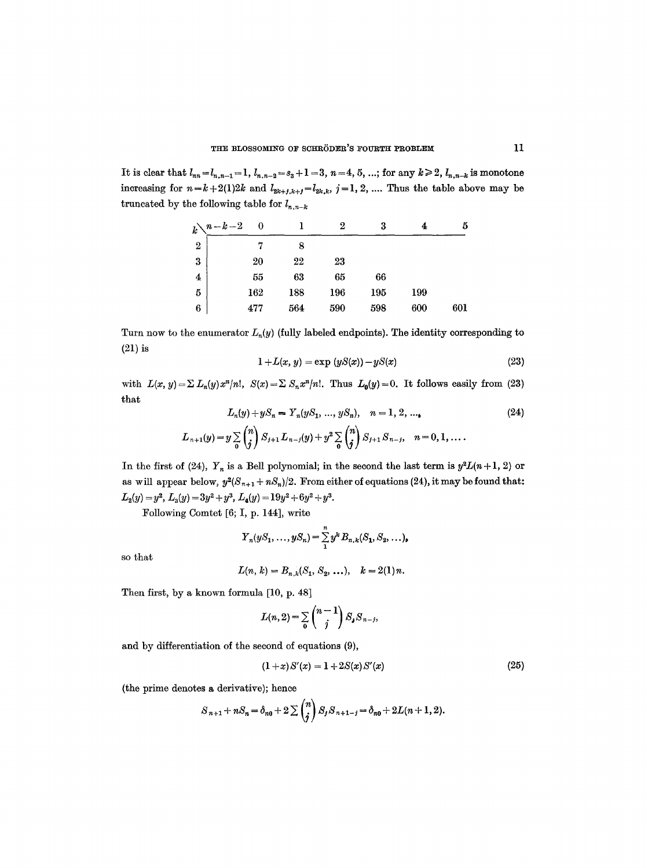It is clear that  $l_{nn} = l_{n,n-1} = 1$ ,  $l_{n,n-2} = s_3 + 1 = 3$ ,  $n = 4, 5, ...$ ; for any  $k \ge 2$ ,  $l_{n,n-k}$  is monotone increasing for  $n=k+2(1)2k$  and  $l_{2k+j,k+j}=l_{2k,k}$ ,  $j=1, 2, ...$  Thus the table above may be truncated by the following table for  $l_{n,n-k}$ 

|                  | $k\lambda^{n-k-2}$ | 0   |     | 2   | 3   |     | 5   |
|------------------|--------------------|-----|-----|-----|-----|-----|-----|
| $\boldsymbol{2}$ |                    |     | 8   |     |     |     |     |
| $\bf{3}$         |                    | 20  | 22  | 23  |     |     |     |
| $\boldsymbol{4}$ |                    | 55  | 63  | 65  | 66  |     |     |
| $\overline{5}$   |                    | 162 | 188 | 196 | 195 | 199 |     |
| 6                |                    | 477 | 564 | 590 | 598 | 600 | 601 |

Turn now to the enumerator  $L_n(y)$  (fully labeled endpoints). The identity corresponding to (21) is

$$
1 + L(x, y) = \exp(yS(x)) - yS(x) \tag{23}
$$

with  $L(x, y) = \sum L_n(y) x^n/n!$ ,  $S(x) = \sum S_n x^n/n!$ . Thus  $L_0(y) = 0$ . It follows easily from (23) that

$$
L_n(y) + yS_n = Y_n(yS_1, ..., yS_n), \quad n = 1, 2, ...,
$$
  
\n
$$
L_{n+1}(y) = y \sum_{0} {n \choose j} S_{j+1} L_{n-j}(y) + y^2 \sum_{0} {n \choose j} S_{j+1} S_{n-j}, \quad n = 0, 1, ....
$$
\n(24)

In the first of (24),  $Y_n$  is a Bell polynomial; in the second the last term is  $y^2L(n+1, 2)$  or as will appear below,  $y^2(S_{n+1} + nS_n)/2$ . From either of equations (24), it may be found that:  $L_2(y) = y^2$ ,  $L_3(y) = 3y^2 + y^3$ ,  $L_4(y) = 19y^2 + 6y^2 + y^3$ .

Following Comtet [6; I, p. 144], write

$$
Y_n(yS_1, ..., yS_n) = \sum_{1}^{n} y^k B_{n,k}(S_1, S_2, ...),
$$

so that

$$
L(n, k) = B_{n, k}(S_1, S_2, \ldots), \quad k = 2(1) n.
$$

Then first, by a known formula  $[10, p. 48]$ 

$$
L(n,2)=\sum_{0}\binom{n-1}{j}S_{j}S_{n-j},
$$

and by differentiation of the second of equations (9),

$$
(1+x)S'(x) = 1 + 2S(x)S'(x)
$$
\n(25)

(the prime denotes a derivative); hence

$$
S_{n+1}+nS_n=\delta_{n0}+2\sum\binom{n}{j}S_jS_{n+1-j}=\delta_{n0}+2L(n+1,2).
$$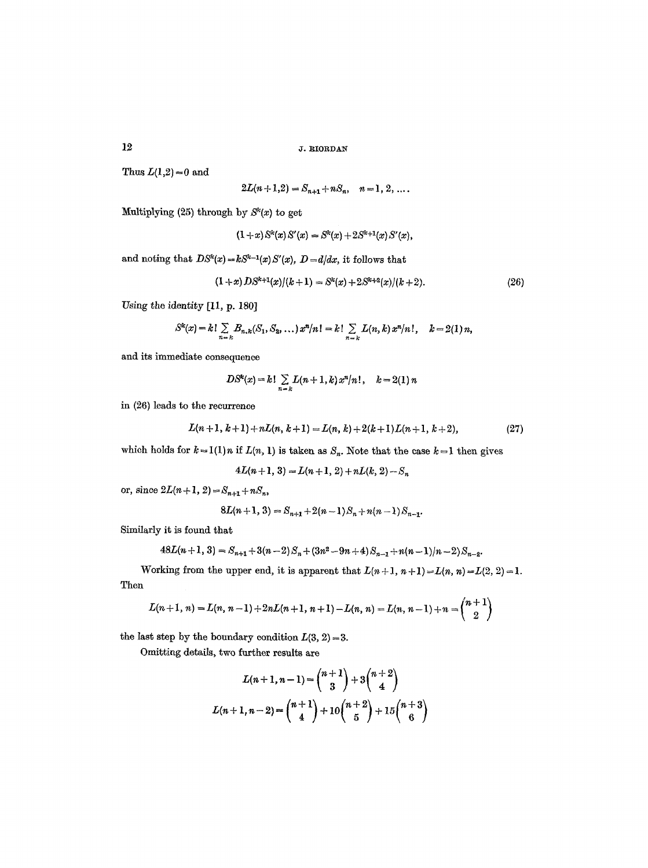Thus  $L(1,2)=0$  and

$$
2L(n+1,2) = S_{n+1} + nS_n, \quad n = 1, 2, \ldots.
$$

Multiplying (25) through by  $S<sup>k</sup>(x)$  to get

$$
(1+x) Sk(x) S'(x) = Sk(x) + 2Sk+1(x) S'(x),
$$

and noting that  $DS^k(x) = kS^{k-1}(x)S'(x), D = d/dx$ , it follows that

$$
(1+x) DS^{k+1}(x)/(k+1) = S^{k}(x) + 2S^{k+2}(x)/(k+2).
$$
 (26)

Using the identity [II, p. 180]

$$
S^{k}(x) = k! \sum_{n=k} B_{n,k}(S_1, S_2, \ldots) x^{n}/n! = k! \sum_{n=k} L(n,k) x^{n}/n!, \quad k = 2(1) n,
$$

and its immediate consequence

$$
DS^{k}(x) = k! \sum_{n=k} L(n+1, k) x^{n} / n! , \quad k = 2(1) n
$$

in (26) leads to the recurrence

$$
L(n+1, k+1) + nL(n, k+1) = L(n, k) + 2(k+1)L(n+1, k+2),
$$
\n(27)

 $\mathbf{r}$ 

which holds for  $k=1(1)n$  if  $L(n, 1)$  is taken as  $S_n$ . Note that the case  $k=1$  then gives

$$
4L(n+1, 3) = L(n+1, 2) + nL(k, 2) - S_n
$$

or, since  $2L(n+1, 2) = S_{n+1} + nS_n$ ,

$$
8L(n+1, 3) = S_{n+1} + 2(n-1)S_n + n(n-1)S_{n-1}.
$$

Similarly it is found that

$$
48L(n+1, 3) = S_{n+1} + 3(n-2)S_n + (3n^2 - 9n + 4)S_{n-1} + n(n-1)/n - 2)S_{n-2}
$$

Working from the upper end, it is apparent that  $L(n+1, n+1)=L(n, n)=L(2, 2)=1$ . Then

$$
L(n+1, n) = L(n, n-1) + 2nL(n+1, n+1) - L(n, n) = L(n, n-1) + n = {n+1 \choose 2}
$$

the last step by the boundary condition  $L(3, 2) = 3$ .

Omitting details, two further results are

$$
L(n+1, n-1) = {n+1 \choose 3} + 3{n+2 \choose 4}
$$
  

$$
L(n+1, n-2) = {n+1 \choose 4} + 10{n+2 \choose 5} + 15{n+3 \choose 6}
$$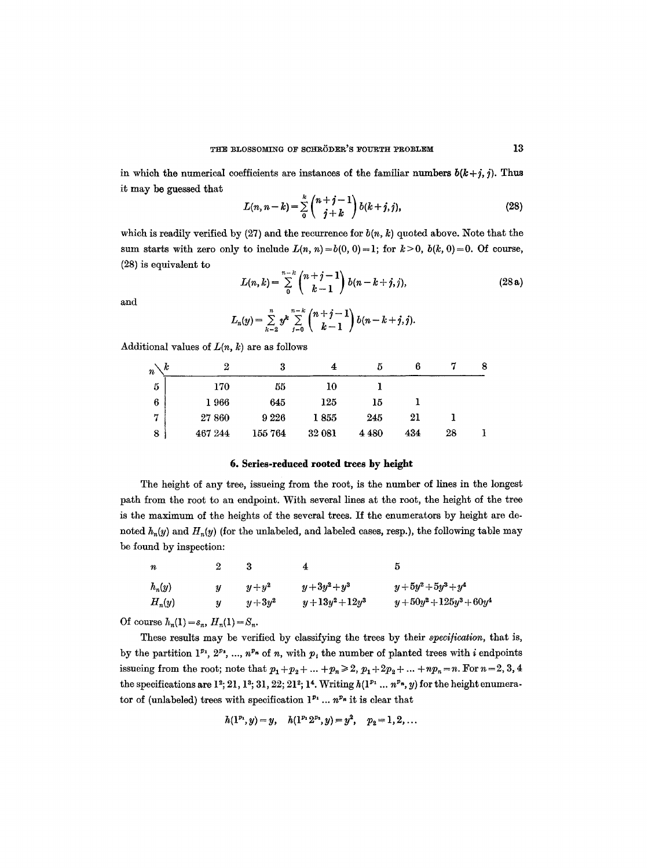in which the numerical coefficients are instances of the familiar numbers  $b(k+j, j)$ . Thus it may be guessed that

$$
L(n, n-k) = \sum_{0}^{k} {n+j-1 \choose j+k} b(k+j, j),
$$
 (28)

which is readily verified by (27) and the recurrence for  $b(n, k)$  quoted above. Note that the sum starts with zero only to include  $L(n, n) = b(0, 0) = 1$ ; for  $k > 0$ ,  $b(k, 0) = 0$ . Of course, (28) is equivalent to

$$
L(n,k) = \sum_{0}^{n-k} {n+j-1 \choose k-1} b(n-k+j,j), \qquad (28a)
$$

and

$$
L_n(y) = \sum_{k=2}^n y^k \sum_{j=0}^{n-k} {n+j-1 \choose k-1} b(n-k+j,j).
$$

Additional values of  $L(n, k)$  are as follows

| k<br>$\it n$ | 2       | 3      | 4      | 5.      |     |    | 8 |
|--------------|---------|--------|--------|---------|-----|----|---|
| $\mathbf{5}$ | 170     | 55     | $10\,$ |         |     |    |   |
| 6            | 1966    | 645    | 125    | 15      |     |    |   |
| 7            | 27 860  | 9226   | 1855   | 245     | 21  |    |   |
| 8            | 467 244 | 155764 | 32 081 | 4 4 8 0 | 434 | 28 |   |

## **6. Series-reduced rooted trees by height**

The height of any tree, issueing from the root, is the number of lines in the longest path from the root to an endpoint. With several lines at the root, the height of the tree is the maximum of the heights of the several trees. If the enumerators by height are denoted  $h_n(y)$  and  $H_n(y)$  (for the unlabeled, and labeled cases, resp.), the following table may be found by inspection:

| n        | $\overline{2}$   | - 3      | 4               | 5                      |
|----------|------------------|----------|-----------------|------------------------|
| $h_n(y)$ | $\boldsymbol{u}$ | $y+y^2$  | $y+3y^2+y^3$    | $y+5y^2+5y^3+y^4$      |
| $H_n(y)$ | $\boldsymbol{u}$ | $y+3y^2$ | $y+13y^2+12y^3$ | $y+50y^2+125y^3+60y^4$ |

Of course  $h_n(1) = s_n$ ,  $H_n(1) = S_n$ .

These results may be verified by classifying the trees by their *specification,* that is, by the partition  $1^{p_1}, 2^{p_2}, ..., n^{p_n}$  of n, with  $p_i$  the number of planted trees with i endpoints issueing from the root; note that  $p_1 + p_2 + ... + p_n \ge 2$ ,  $p_1 + 2p_2 + ... + np_n = n$ . For  $n = 2, 3, 4$ the specifications are  $1^2$ ; 21, 1<sup>3</sup>; 31, 22; 21<sup>2</sup>; 1<sup>4</sup>. Writing  $h(1^{p_1} \ldots n^{p_n}, y)$  for the height enumerator of (unlabeled) trees with specification  $1^{p_1} \dots n^{p_n}$  it is clear that

$$
h(1^{p_1},y)=y, \quad h(1^{p_1}2^{p_2},y)=y^2, \quad p_2=1,2,\ldots
$$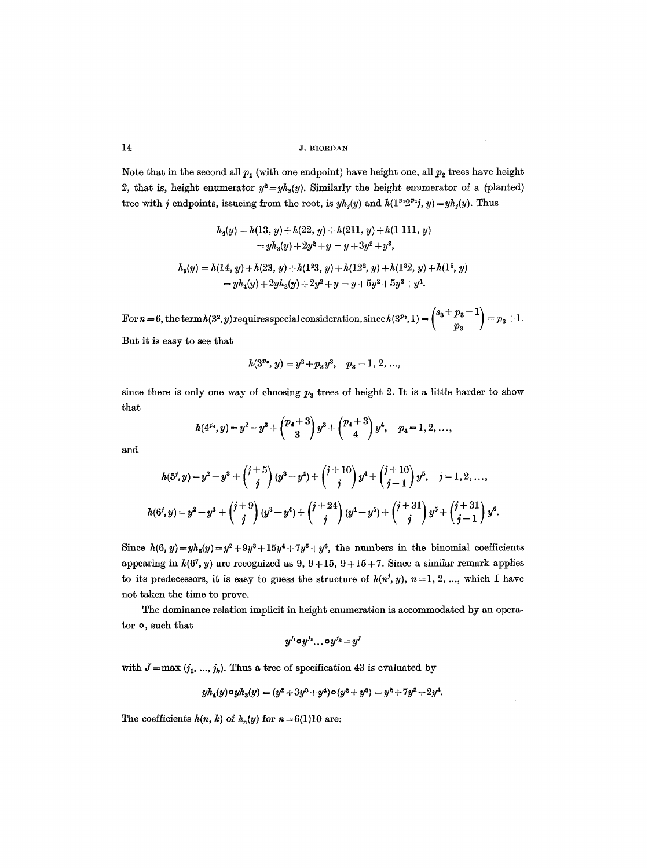Note that in the second all  $p_1$  (with one endpoint) have height one, all  $p_2$  trees have height 2, that is, height enumerator  $y^2 = yh_2(y)$ . Similarly the height enumerator of a (planted) tree with j endpoints, issueing from the root, is  $yh_j(y)$  and  $h(1^{p_1}2^{p_2}j, y) = yh_j(y)$ . Thus

$$
h_4(y) = h(13, y) + h(22, y) + h(211, y) + h(1 111, y)
$$
  
=  $yh_3(y) + 2y^2 + y = y + 3y^2 + y^3$ ,  

$$
h_5(y) = h(14, y) + h(23, y) + h(1^23, y) + h(12^2, y) + h(1^32, y) + h(1^5, y)
$$
  
=  $yh_4(y) + 2yh_3(y) + 2y^2 + y = y + 5y^2 + 5y^3 + y^4$ .

 $\text{For } n=6 \text{, the term } h(3^2, y) \text{ requires special consideration, since } h(3^{p_3}, 1) = \begin{pmatrix} 3 & 7 & 8 \ & 7 & 8 \ & p_3 & 7 \end{pmatrix} = p_3 + 1.$ But it is easy to see that

 $h(3^{p_3}, y) = y^2 + p_3y^3$ ,  $p_3 = 1, 2, ...,$ 

since there is only one way of choosing 
$$
p_3
$$
 trees of height 2. It is a little harder to show that

$$
h(4^{p_4},y)=y^2-y^3+\binom{p_4+3}{3}y^3+\binom{p_4+3}{4}y^4,\quad p_4=1,2,\ldots,
$$

and

$$
h(5^j, y) = y^2 - y^3 + {j+5 \choose j} (y^3 - y^4) + {j+10 \choose j} y^4 + {j+10 \choose j-1} y^5, \quad j = 1, 2, ...,
$$
  

$$
h(6^j, y) = y^2 - y^3 + {j+9 \choose j} (y^3 - y^4) + {j+24 \choose j} (y^4 - y^5) + {j+31 \choose j} y^5 + {j+31 \choose j-1} y^6.
$$

Since  $h(6, y) = yh_6(y) = y^2 + 9y^3 + 15y^4 + 7y^5 + y^6$ , the numbers in the binomial coefficients appearing in  $h(6^7, y)$  are recognized as 9,  $9+15$ ,  $9+15+7$ . Since a similar remark applies to its predecessors, it is easy to guess the structure of  $h(n^j, y)$ ,  $n = 1, 2, ...,$  which I have not taken the time to prove.

The dominance relation implicit in height enumeration is accommodated by an operator o, such that

$$
y^{j_1} \mathtt{o} y^{j_2} \ldots \mathtt{o} y^{j_k} \mathtt{=} y^J
$$

with  $J=\max (j_1, ..., j_k)$ . Thus a tree of specification 43 is evaluated by

$$
yh_4(y)\circ yh_3(y)=(y^2+3y^3+y^4)\circ (y^2+y^3)=y^2+7y^3+2y^4.
$$

The coefficients  $h(n, k)$  of  $h_n(y)$  for  $n=6(1)10$  are: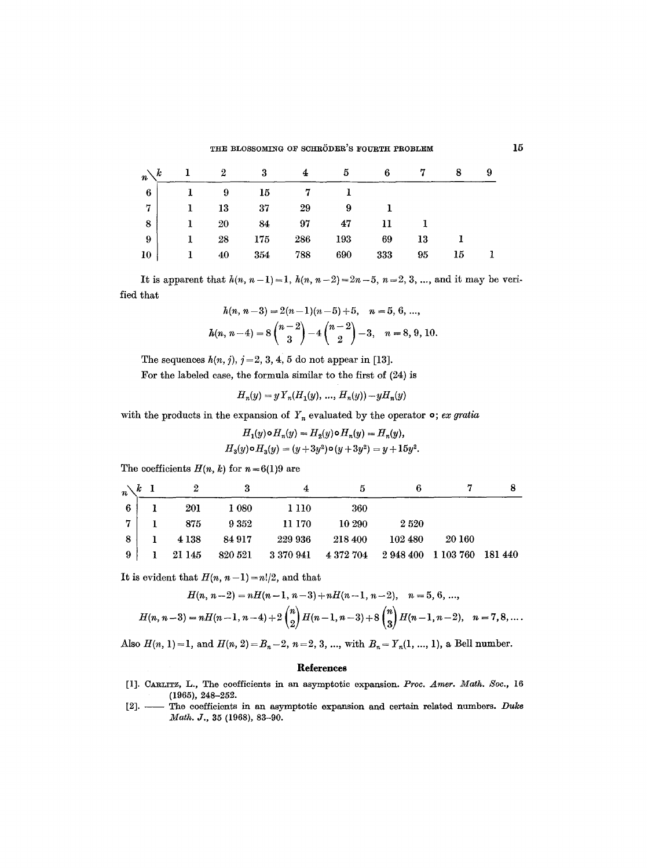#### THE BLOSSOMING OF SCHRÖDER'S FOURTH PROBLEM

| k<br>$\overrightarrow{n}$ |    |    | 3   |     |     | 6   |    | 8  | 9 |
|---------------------------|----|----|-----|-----|-----|-----|----|----|---|
| $\overline{\bf{6}}$       |    | -9 | 15  |     |     |     |    |    |   |
| 7                         | -1 | 13 | 37  | 29  | 9   |     |    |    |   |
| ${\bf 8}$                 | 1  | 20 | 84  | 97  | 47  |     |    |    |   |
| -9                        |    | 28 | 175 | 286 | 193 | 69  | 13 |    |   |
| $10\,$                    | -1 | 40 | 354 | 788 | 690 | 333 | 95 | 15 |   |

It is apparent that  $h(n, n-1)=1$ ,  $h(n, n-2)=2n-5$ ,  $n=2, 3, ...$ , and it may be verified that

$$
h(n, n-3) = 2(n-1)(n-5) + 5, \quad n = 5, 6, \dots,
$$
  

$$
h(n, n-4) = 8\binom{n-2}{3} - 4\binom{n-2}{2} - 3, \quad n = 8, 9, 10.
$$

The sequences  $h(n, j)$ ,  $j = 2, 3, 4, 5$  do not appear in [13].

For the labeled ease, the formula similar to the first of (24) is

$$
H_n(y) = y Y_n(H_1(y), ..., H_n(y)) - y H_n(y)
$$

with the products in the expansion of  $Y_n$  evaluated by the operator  $\circ$ ; *ex gratia* 

$$
H_1(y) \circ H_n(y) = H_2(y) \circ H_n(y) = H_n(y),
$$
  

$$
H_3(y) \circ H_3(y) = (y + 3y^2) \circ (y + 3y^2) = y + 15y^2.
$$

The coefficients  $H(n, k)$  for  $n=6(1)9$  are

|                | $n\setminus k$ 1 |          |          |                                                         |         |            |        |  |
|----------------|------------------|----------|----------|---------------------------------------------------------|---------|------------|--------|--|
| 6 <sup>1</sup> |                  | 201      | 1 080    | -1 110                                                  | 360     |            |        |  |
| $7 -$          |                  | 875      | $9\;352$ | 11 170                                                  | 10 290  | 2520       |        |  |
| 8              |                  | $4\,138$ | 84 917   | 229 936                                                 | 218 400 | $102\,480$ | 20 160 |  |
| 9              |                  | 1 21 145 |          | 820 521 3 370 941 4 372 704 2 948 400 1 103 760 181 440 |         |            |        |  |

It is evident that  $H(n, n-1)=n!/2$ , and that

$$
H(n, n-2) = nH(n-1, n-3) + nH(n-1, n-2), \quad n = 5, 6, \dots,
$$
  

$$
H(n, n-3) = nH(n-1, n-4) + 2\binom{n}{2}H(n-1, n-3) + 8\binom{n}{3}H(n-1, n-2), \quad n = 7, 8, \dots.
$$

Also  $H(n, 1) = 1$ , and  $H(n, 2) = B_n - 2$ ,  $n = 2, 3, ...$ , with  $B_n = Y_n(1, ..., 1)$ , a Bell number.

### **Re|erences**

- [1]. CARLITZ, L., The coefficients in an asymptotic expansion. *Proc. Amer. Math. Soc.*, 16 (1965), 248-252.
- [2]. The coefficients in an asymptotic expansion and certain related ntunbers. *Duk6 .Math. J.,* **35 (1968), 83-90.**